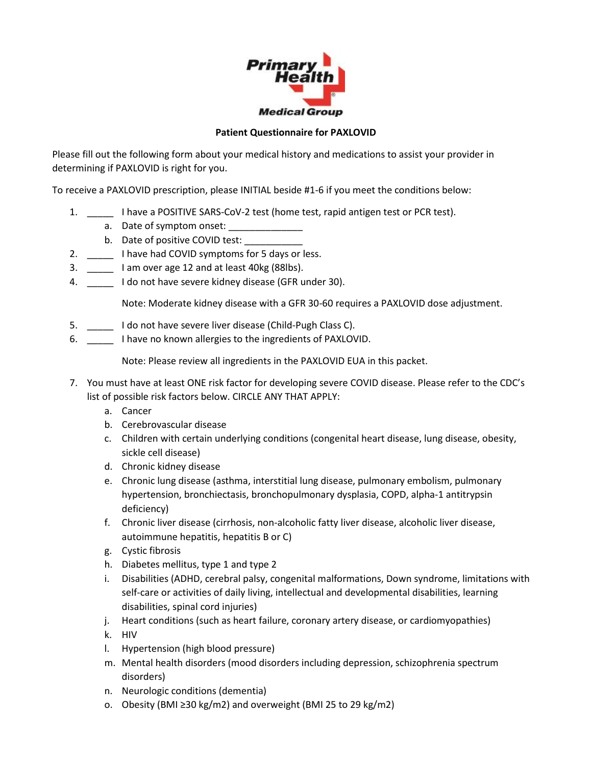

## **Patient Questionnaire for PAXLOVID**

Please fill out the following form about your medical history and medications to assist your provider in determining if PAXLOVID is right for you.

To receive a PAXLOVID prescription, please INITIAL beside #1-6 if you meet the conditions below:

- 1. \_\_\_\_\_ I have a POSITIVE SARS-CoV-2 test (home test, rapid antigen test or PCR test).
	- a. Date of symptom onset:
	- b. Date of positive COVID test:
- 2. \_\_\_\_\_\_\_ I have had COVID symptoms for 5 days or less.
- 3. \_\_\_\_\_ I am over age 12 and at least 40kg (88lbs).
- 4. \_\_\_\_\_ I do not have severe kidney disease (GFR under 30).

Note: Moderate kidney disease with a GFR 30-60 requires a PAXLOVID dose adjustment.

- 5. \_\_\_\_\_ I do not have severe liver disease (Child-Pugh Class C).
- 6. \_\_\_\_\_ I have no known allergies to the ingredients of PAXLOVID.

Note: Please review all ingredients in the PAXLOVID EUA in this packet.

- 7. You must have at least ONE risk factor for developing severe COVID disease. Please refer to the CDC's list of possible risk factors below. CIRCLE ANY THAT APPLY:
	- a. Cancer
	- b. Cerebrovascular disease
	- c. Children with certain underlying conditions (congenital heart disease, lung disease, obesity, sickle cell disease)
	- d. Chronic kidney disease
	- e. Chronic lung disease (asthma, interstitial lung disease, pulmonary embolism, pulmonary hypertension, bronchiectasis, bronchopulmonary dysplasia, COPD, alpha-1 antitrypsin deficiency)
	- f. Chronic liver disease (cirrhosis, non-alcoholic fatty liver disease, alcoholic liver disease, autoimmune hepatitis, hepatitis B or C)
	- g. Cystic fibrosis
	- h. Diabetes mellitus, type 1 and type 2
	- i. Disabilities (ADHD, cerebral palsy, congenital malformations, Down syndrome, limitations with self-care or activities of daily living, intellectual and developmental disabilities, learning disabilities, spinal cord injuries)
	- j. Heart conditions (such as heart failure, coronary artery disease, or cardiomyopathies)
	- k. HIV
	- l. Hypertension (high blood pressure)
	- m. Mental health disorders (mood disorders including depression, schizophrenia spectrum disorders)
	- n. Neurologic conditions (dementia)
	- o. Obesity (BMI ≥30 kg/m2) and overweight (BMI 25 to 29 kg/m2)